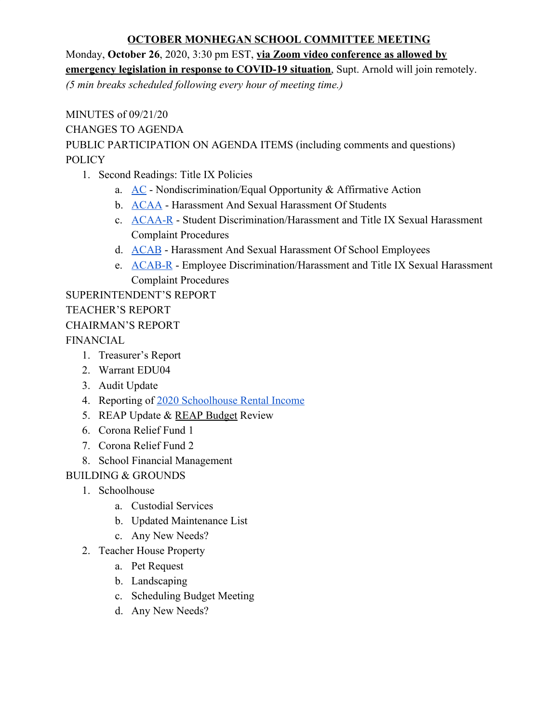### **OCTOBER MONHEGAN SCHOOL COMMITTEE MEETING**

Monday, **October 26**, 2020, 3:30 pm EST, **via Zoom video conference as allowed by emergency legislation in response to COVID-19 situation**, Supt. Arnold will join remotely. *(5 min breaks scheduled following every hour of meeting time.)*

MINUTES of 09/21/20 CHANGES TO AGENDA PUBLIC PARTICIPATION ON AGENDA ITEMS (including comments and questions) POLICY

- 1. Second Readings: Title IX Policies
	- a. [AC](https://docs.google.com/document/d/1QWzxrqcsuyTPBaw1oot5OAKxFFUCMnpQgQtaw94t5Ak/edit) Nondiscrimination/Equal Opportunity & Affirmative Action
	- b. [ACAA](https://docs.google.com/document/d/1PCCNd4J2V53b2WMlphmROjsi4fJZ_v_D8pmKyFK7AN4/edit) Harassment And Sexual Harassment Of Students
	- c. [ACAA-R](https://docs.google.com/document/d/1XMz34oZnA_FeHiBJ1Ag0oTpLxvXXcqupzwIhMkMVwSo/edit) Student Discrimination/Harassment and Title IX Sexual Harassment Complaint Procedures
	- d. [ACAB](https://docs.google.com/document/d/1D5NHbVtlVoa8kEHCDVu06izsx4kIkasdl2vx9-zJbZY/edit) Harassment And Sexual Harassment Of School Employees
	- e. [ACAB-R](https://docs.google.com/document/d/1e8yeMqSDbWL2e6jM4Ji0kleFAD5hv4ydI0pTGkG_AwA/edit) Employee Discrimination/Harassment and Title IX Sexual Harassment Complaint Procedures

SUPERINTENDENT'S REPORT TEACHER'S REPORT CHAIRMAN'S REPORT FINANCIAL

- 1. Treasurer's Report
- 2. Warrant EDU04
- 3. Audit Update
- 4. Reporting of [2020 Schoolhouse Rental Income](https://drive.google.com/open?id=1oSOPs1GkwZelfmN5HDCS7qsT22yO1IgyXExbNFCtg4c)
- 5. REAP Update & [REAP Budget](https://docs.google.com/spreadsheets/d/12S7Mp0W-f__XwXKRuMMjFRTCZzGSJbgxJYrwii996R4/edit?usp=sharing) Review
- 6. Corona Relief Fund 1
- 7. Corona Relief Fund 2
- 8. School Financial Management

# BUILDING & GROUNDS

- 1. Schoolhouse
	- a. Custodial Services
	- b. Updated Maintenance List
	- c. Any New Needs?
- 2. Teacher House Property
	- a. Pet Request
	- b. Landscaping
	- c. Scheduling Budget Meeting
	- d. Any New Needs?